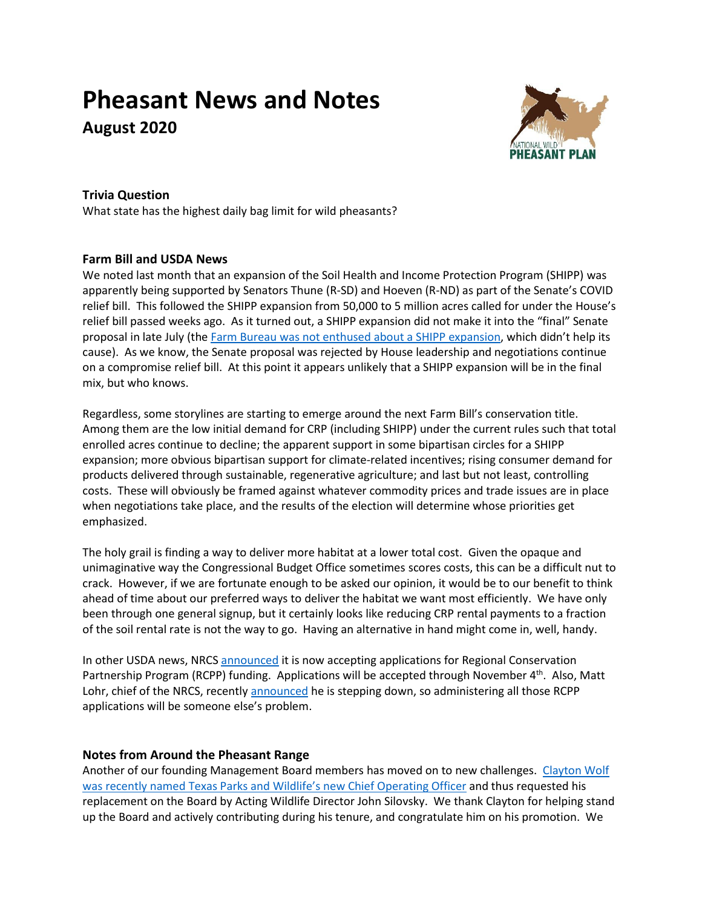# **Pheasant News and Notes August 2020**



## **Trivia Question**

What state has the highest daily bag limit for wild pheasants?

### **Farm Bill and USDA News**

We noted last month that an expansion of the Soil Health and Income Protection Program (SHIPP) was apparently being supported by Senators Thune (R-SD) and Hoeven (R-ND) as part of the Senate's COVID relief bill. This followed the SHIPP expansion from 50,000 to 5 million acres called for under the House's relief bill passed weeks ago. As it turned out, a SHIPP expansion did not make it into the "final" Senate proposal in late July (the [Farm Bureau was not enthused](https://www.fb.org/market-intel/shipp) about a SHIPP expansion, which didn't help its cause). As we know, the Senate proposal was rejected by House leadership and negotiations continue on a compromise relief bill. At this point it appears unlikely that a SHIPP expansion will be in the final mix, but who knows.

Regardless, some storylines are starting to emerge around the next Farm Bill's conservation title. Among them are the low initial demand for CRP (including SHIPP) under the current rules such that total enrolled acres continue to decline; the apparent support in some bipartisan circles for a SHIPP expansion; more obvious bipartisan support for climate-related incentives; rising consumer demand for products delivered through sustainable, regenerative agriculture; and last but not least, controlling costs. These will obviously be framed against whatever commodity prices and trade issues are in place when negotiations take place, and the results of the election will determine whose priorities get emphasized.

The holy grail is finding a way to deliver more habitat at a lower total cost. Given the opaque and unimaginative way the Congressional Budget Office sometimes scores costs, this can be a difficult nut to crack. However, if we are fortunate enough to be asked our opinion, it would be to our benefit to think ahead of time about our preferred ways to deliver the habitat we want most efficiently. We have only been through one general signup, but it certainly looks like reducing CRP rental payments to a fraction of the soil rental rate is not the way to go. Having an alternative in hand might come in, well, handy.

In other USDA news, NRCS [announced](https://www.grants.gov/web/grants/search-grants.html?keywords=regional%20conservation%20partnership%20program) it is now accepting applications for Regional Conservation Partnership Program (RCPP) funding. Applications will be accepted through November 4<sup>th</sup>. Also, Matt Lohr, chief of the NRCS, recentl[y announced](https://www.agdaily.com/lifestyle/nrcs-chief-matthew-lohr-resigns-work-farm/) he is stepping down, so administering all those RCPP applications will be someone else's problem.

### **Notes from Around the Pheasant Range**

Another of our founding Management Board members has moved on to new challenges. [Clayton Wolf](https://tpwd.texas.gov/newsmedia/releases/?req=20200714a)  [was recently named Texas Parks and W](https://tpwd.texas.gov/newsmedia/releases/?req=20200714a)ildlife's new Chief Operating Officer and thus requested his replacement on the Board by Acting Wildlife Director John Silovsky. We thank Clayton for helping stand up the Board and actively contributing during his tenure, and congratulate him on his promotion. We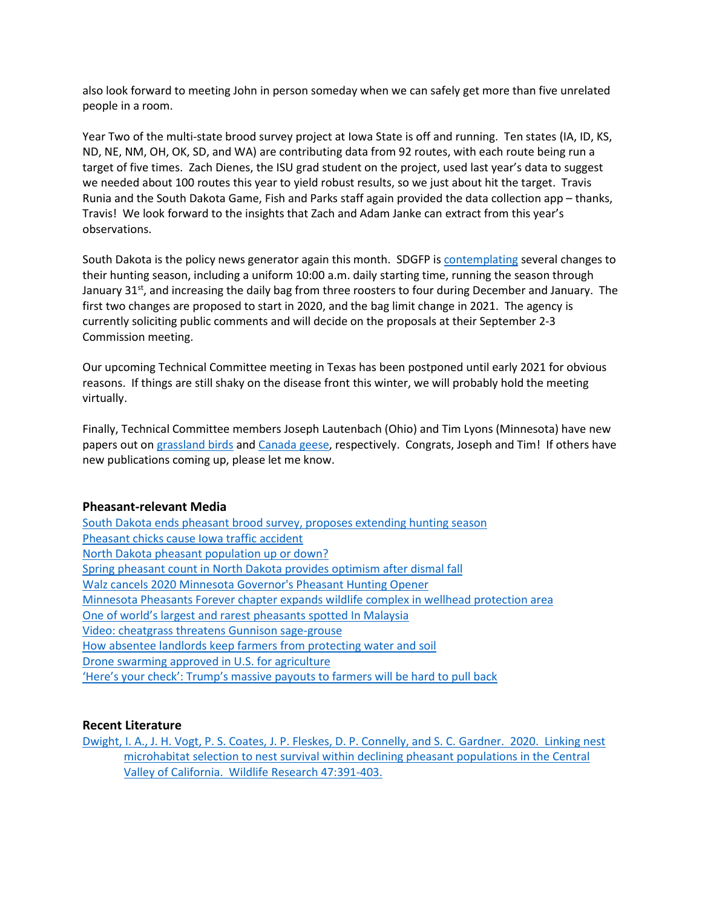also look forward to meeting John in person someday when we can safely get more than five unrelated people in a room.

Year Two of the multi-state brood survey project at Iowa State is off and running. Ten states (IA, ID, KS, ND, NE, NM, OH, OK, SD, and WA) are contributing data from 92 routes, with each route being run a target of five times. Zach Dienes, the ISU grad student on the project, used last year's data to suggest we needed about 100 routes this year to yield robust results, so we just about hit the target. Travis Runia and the South Dakota Game, Fish and Parks staff again provided the data collection app – thanks, Travis! We look forward to the insights that Zach and Adam Janke can extract from this year's observations.

South Dakota is the policy news generator again this month. SDGFP is [contemplating](https://gfp.sd.gov/news/detail/1410/) several changes to their hunting season, including a uniform 10:00 a.m. daily starting time, running the season through January 31<sup>st</sup>, and increasing the daily bag from three roosters to four during December and January. The first two changes are proposed to start in 2020, and the bag limit change in 2021. The agency is currently soliciting public comments and will decide on the proposals at their September 2-3 Commission meeting.

Our upcoming Technical Committee meeting in Texas has been postponed until early 2021 for obvious reasons. If things are still shaky on the disease front this winter, we will probably hold the meeting virtually.

Finally, Technical Committee members Joseph Lautenbach (Ohio) and Tim Lyons (Minnesota) have new papers out on [grassland birds](https://doi.org/10.3996/062019-JFWM-053) an[d Canada geese,](https://doi.org/10.3996/122019-JFWM-104) respectively. Congrats, Joseph and Tim! If others have new publications coming up, please let me know.

#### **Pheasant-relevant Media**

[South Dakota ends pheasant brood survey, proposes extending hunting season](https://www.argusleader.com/story/news/politics/2020/08/03/south-dakota-ends-pheasant-brood-survey-proposes-extending-hunting-season/5549196002/) [Pheasant chicks cause Iowa traffic accident](http://www.decorahnews.com/news-stories/2020/07/25897.html) [North Dakota pheasant population up or down?](https://www.bowmanextra.com/sports_paid/pheasant-population-up-or-down/article_29c9c06a-d1bf-11ea-8d9d-c3f27b1f46f5.html) [Spring pheasant count in North Dakota provides optimism after dismal fall](https://bismarcktribune.com/news/state-and-regional/spring-pheasant-count-in-north-dakota-provides-optimism-after-dismal-fall/article_69b44235-e296-59e7-890d-2c3f3c8b8ec3.html) [Walz cancels 2020 Minnesota Governor's Pheasant Hunting Opener](https://www.wctrib.com/sports/outdoors/6602925-Walz-cancels-2020-Governors-Pheasant-Hunting-Opener) [Minnesota Pheasants Forever chapter expands wildlife complex in wellhead protection area](https://www.dglobe.com/sports/outdoors/6572549-Nobles-County-Pheasants-Forever-expands-wildlife-complex-in-wellhead-protection-area) [One of world's largest and rarest pheasants spotted In Malaysia](https://rojakdaily.com/news/article/9964/one-of-world-s-largest-and-rarest-pheasants-spotted-in-malaysia) [Video: cheatgrass threatens](https://vimeo.com/408602301) Gunnison sage-grouse [How absentee landlords keep farmers from protecting water and soil](https://www.npr.org/2020/07/14/890449857/how-absentee-landlords-keep-farmers-from-protecting-water-and-soil) [Drone swarming approved in U.S. for agriculture](https://www.precisionag.com/market-watch/drone-swarming-approved-in-u-s-for-agriculture/) ['Here's your check': Trump's massive payouts to farmers will be h](https://www.politico.com/news/2020/07/14/donald-trump-coronavirus-farmer-bailouts-359932)ard to pull back

### **Recent Literature**

[Dwight, I. A., J. H. Vogt, P. S. Coates, J. P. Fleskes, D. P. Connelly, and S. C. Gardner. 2020. Linking nest](https://doi.org/10.1071/WR18199)  [microhabitat selection to nest survival within declining pheasant populations in the Central](https://doi.org/10.1071/WR18199)  [Valley of California. Wildlife Research](https://doi.org/10.1071/WR18199) 47:391-403.